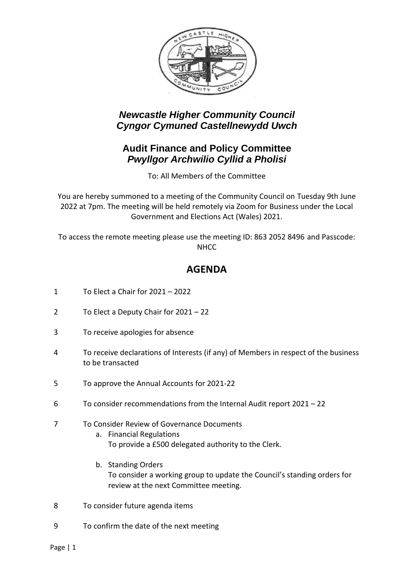

## *Newcastle Higher Community Council Cyngor Cymuned Castellnewydd Uwch*

#### **Audit Finance and Policy Committee** *Pwyllgor Archwilio Cyllid a Pholisi*

To: All Members of the Committee

You are hereby summoned to a meeting of the Community Council on Tuesday 9th June 2022 at 7pm. The meeting will be held remotely via Zoom for Business under the Local Government and Elections Act (Wales) 2021.

To access the remote meeting please use the meeting ID: 863 2052 8496 and Passcode: **NHCC** 

## **AGENDA**

- 1 To Elect a Chair for 2021 2022
- 2 To Elect a Deputy Chair for 2021 22
- 3 To receive apologies for absence
- 4 To receive declarations of Interests (if any) of Members in respect of the business to be transacted
- 5 To approve the Annual Accounts for 2021-22
- 6 To consider recommendations from the Internal Audit report 2021 22

#### 7 To Consider Review of Governance Documents

- a. Financial Regulations To provide a £500 delegated authority to the Clerk.
- b. Standing Orders To consider a working group to update the Council's standing orders for review at the next Committee meeting.
- 8 To consider future agenda items
- 9 To confirm the date of the next meeting

Page | 1